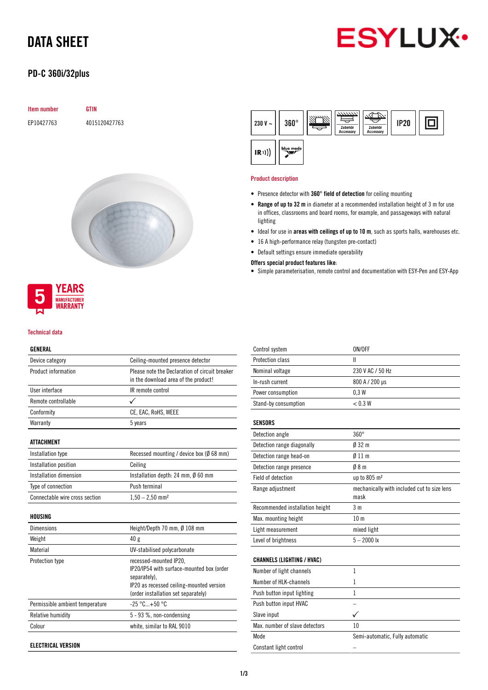# DATA SHEET

# **ESYLUX**

## PD-C 360i/32plus

| Item number | <b>GTIN</b>   |
|-------------|---------------|
| EP10427763  | 4015120427763 |





#### Technical data

#### GENERAL

| Device category                 | Ceiling-mounted presence detector                   |
|---------------------------------|-----------------------------------------------------|
| Product information             | Please note the Declaration of circuit breaker      |
|                                 | in the download area of the product!                |
| <b>Ilser interface</b>          | IR remote control                                   |
| Remote controllable             |                                                     |
| Conformity                      | CE, EAC, RoHS, WEEE                                 |
| Warranty                        | 5 years                                             |
| <b>ATTACHMENT</b>               |                                                     |
| Installation type               | Recessed mounting / device box ( $\emptyset$ 68 mm) |
| Installation position           | Ceiling                                             |
| Installation dimension          | Installation depth: 24 mm, $\emptyset$ 60 mm        |
| Type of connection              | Push terminal                                       |
| Connectable wire cross section  | $1,50 - 2,50$ mm <sup>2</sup>                       |
| HOUSING                         |                                                     |
| <b>Dimensions</b>               | Height/Depth 70 mm, Ø 108 mm                        |
| Weight                          | 40 g                                                |
| Material                        | UV-stabilised polycarbonate                         |
| Protection type                 | recessed-mounted IP20,                              |
|                                 | IP20/IP54 with surface-mounted box (order           |
|                                 | separately).                                        |
|                                 | IP20 as recessed ceiling-mounted version            |
|                                 | (order installation set separately)                 |
| Permissible ambient temperature | $-25 °C+50 °C$                                      |
| Relative humidity               | 5 - 93 %, non-condensing                            |
| Colour                          | white, similar to RAL 9010                          |

ELECTRICAL VERSION

| 230 V $\sim$ | $360^\circ$ | 7777777.<br>Zubehör<br><b>Accessory</b> | Zubehör<br>Accessory | <b>IP20</b> |  |
|--------------|-------------|-----------------------------------------|----------------------|-------------|--|
| (R))         | blue mode   |                                         |                      |             |  |

#### Product description

- Presence detector with 360° field of detection for ceiling mounting
- Range of up to 32 m in diameter at a recommended installation height of 3 m for use in offices, classrooms and board rooms, for example, and passageways with natural lighting
- Ideal for use in areas with ceilings of up to 10 m, such as sports halls, warehouses etc.
- 16 A high-performance relay (tungsten pre-contact)
- Default settings ensure immediate operability

#### Offers special product features like:

• Simple parameterisation, remote control and documentation with ESY-Pen and ESY-App

| Control system                    | ON/OFF                                              |
|-----------------------------------|-----------------------------------------------------|
| Protection class                  | Ш                                                   |
| Nominal voltage                   | 230 V AC / 50 Hz                                    |
| In-rush current                   | 800 A / 200 µs                                      |
| Power consumption                 | 0.3W                                                |
| Stand-by consumption              | < 0.3 W                                             |
| SENSORS                           |                                                     |
| Detection angle                   | $360^\circ$                                         |
| Detection range diagonally        | $032 \text{ m}$                                     |
| Detection range head-on           | 011 <sub>m</sub>                                    |
| Detection range presence          | 08 <sub>m</sub>                                     |
| <b>Field of detection</b>         | up to 805 m <sup>2</sup>                            |
| Range adjustment                  | mechanically with included cut to size lens<br>mask |
| Recommended installation height   | 3 <sub>m</sub>                                      |
| Max. mounting height              | 10 <sub>m</sub>                                     |
| Light measurement                 | mixed light                                         |
| Level of brightness               | $5 - 2000$ lx                                       |
| <b>CHANNELS (LIGHTING / HVAC)</b> |                                                     |
| Number of light channels          | 1                                                   |
| Number of HLK-channels            | 1                                                   |
| Push button input lighting        | 1                                                   |
| Push button input HVAC            |                                                     |
| Slave input                       |                                                     |
| Max, number of slave detectors    | 10                                                  |
| Mode                              | Semi-automatic, Fully automatic                     |
| Constant light control            |                                                     |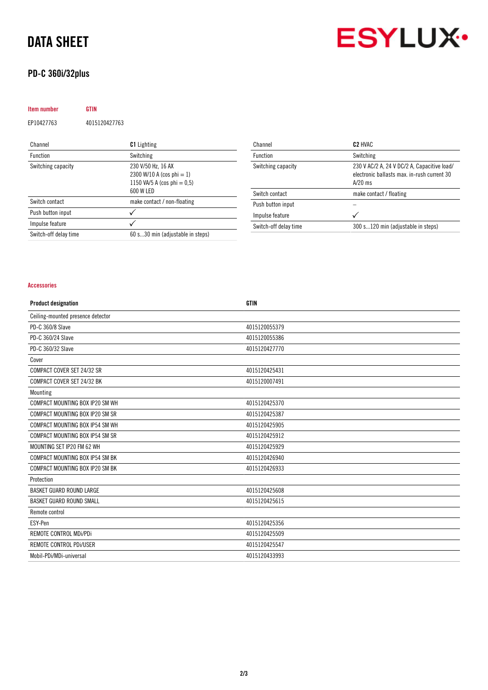## DATA SHEET

## PD-C 360i/32plus

| <b>Item number</b>    | GTIN          |                                                                                                |
|-----------------------|---------------|------------------------------------------------------------------------------------------------|
| EP10427763            | 4015120427763 |                                                                                                |
| Channel               |               | <b>C1</b> Lighting                                                                             |
| <b>Function</b>       |               | Switching                                                                                      |
| Switching capacity    |               | 230 V/50 Hz, 16 AX<br>2300 W/10 A (cos phi = 1)<br>1150 VA/5 A (cos phi = $0.5$ )<br>600 W LED |
| Switch contact        |               | make contact / non-floating                                                                    |
| Push button input     |               |                                                                                                |
| Impulse feature       |               |                                                                                                |
| Switch-off delay time |               | 60 s30 min (adjustable in steps)                                                               |

| Channel               | C <sub>2</sub> HVAC                                                                                     |
|-----------------------|---------------------------------------------------------------------------------------------------------|
| <b>Function</b>       | Switching                                                                                               |
| Switching capacity    | 230 V AC/2 A, 24 V DC/2 A, Capacitive load/<br>electronic ballasts max, in-rush current 30<br>$A/20$ ms |
| Switch contact        | make contact / floating                                                                                 |
| Push button input     |                                                                                                         |
| Impulse feature       |                                                                                                         |
| Switch-off delay time | 300 s120 min (adjustable in steps)                                                                      |

#### Accessories

| <b>Product designation</b>        | <b>GTIN</b>   |
|-----------------------------------|---------------|
| Ceiling-mounted presence detector |               |
| PD-C 360/8 Slave                  | 4015120055379 |
| PD-C 360/24 Slave                 | 4015120055386 |
| PD-C 360/32 Slave                 | 4015120427770 |
| Cover                             |               |
| COMPACT COVER SET 24/32 SR        | 4015120425431 |
| COMPACT COVER SET 24/32 BK        | 4015120007491 |
| Mounting                          |               |
| COMPACT MOUNTING BOX IP20 SM WH   | 4015120425370 |
| COMPACT MOUNTING BOX IP20 SM SR   | 4015120425387 |
| COMPACT MOUNTING BOX IP54 SM WH   | 4015120425905 |
| COMPACT MOUNTING BOX IP54 SM SR   | 4015120425912 |
| MOUNTING SET IP20 FM 62 WH        | 4015120425929 |
| COMPACT MOUNTING BOX IP54 SM BK   | 4015120426940 |
| COMPACT MOUNTING BOX IP20 SM BK   | 4015120426933 |
| Protection                        |               |
| BASKET GUARD ROUND LARGE          | 4015120425608 |
| BASKET GUARD ROUND SMALL          | 4015120425615 |
| Remote control                    |               |
| ESY-Pen                           | 4015120425356 |
| REMOTE CONTROL MDi/PDi            | 4015120425509 |
| REMOTE CONTROL PDI/USER           | 4015120425547 |
| Mobil-PDi/MDi-universal           | 4015120433993 |